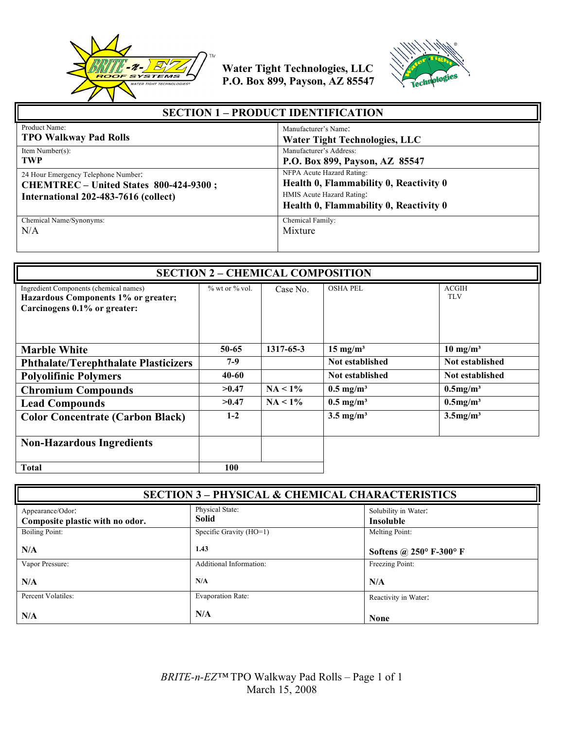



| <b>SECTION 1 – PRODUCT IDENTIFICATION</b>                                                                             |                                                                                                                                            |
|-----------------------------------------------------------------------------------------------------------------------|--------------------------------------------------------------------------------------------------------------------------------------------|
| Product Name:                                                                                                         | Manufacturer's Name:                                                                                                                       |
| <b>TPO Walkway Pad Rolls</b>                                                                                          | <b>Water Tight Technologies, LLC</b>                                                                                                       |
| Item Number(s):                                                                                                       | Manufacturer's Address:                                                                                                                    |
| <b>TWP</b>                                                                                                            | P.O. Box 899, Payson, AZ 85547                                                                                                             |
| 24 Hour Emergency Telephone Number.<br>CHEMTREC – United States 800-424-9300;<br>International 202-483-7616 (collect) | NFPA Acute Hazard Rating:<br>Health 0, Flammability 0, Reactivity 0<br>HMIS Acute Hazard Rating:<br>Health 0, Flammability 0, Reactivity 0 |
| Chemical Name/Synonyms:                                                                                               | Chemical Family:                                                                                                                           |
| N/A                                                                                                                   | Mixture                                                                                                                                    |

| <b>SECTION 2 - CHEMICAL COMPOSITION</b>                                                                       |                      |            |                      |                            |
|---------------------------------------------------------------------------------------------------------------|----------------------|------------|----------------------|----------------------------|
| Ingredient Components (chemical names)<br>Hazardous Components 1% or greater;<br>Carcinogens 0.1% or greater: | $\%$ wt or $\%$ vol. | Case No.   | <b>OSHA PEL</b>      | <b>ACGIH</b><br><b>TLV</b> |
| <b>Marble White</b>                                                                                           | $50 - 65$            | 1317-65-3  | $15 \text{ mg/m}^3$  | $10 \text{ mg/m}^3$        |
| <b>Phthalate/Terephthalate Plasticizers</b>                                                                   | $7-9$                |            | Not established      | Not established            |
| <b>Polyolifinic Polymers</b>                                                                                  | 40-60                |            | Not established      | Not established            |
| <b>Chromium Compounds</b>                                                                                     | >0.47                | $NA < 1\%$ | $0.5 \text{ mg/m}^3$ | $0.5$ mg/m <sup>3</sup>    |
| <b>Lead Compounds</b>                                                                                         | >0.47                | $NA < 1\%$ | $0.5 \text{ mg/m}^3$ | $0.5$ mg/m <sup>3</sup>    |
| <b>Color Concentrate (Carbon Black)</b>                                                                       | $1-2$                |            | $3.5 \text{ mg/m}^3$ | $3.5$ mg/m <sup>3</sup>    |
| <b>Non-Hazardous Ingredients</b>                                                                              |                      |            |                      |                            |
| <b>Total</b>                                                                                                  | 100                  |            |                      |                            |

| <b>SECTION 3 - PHYSICAL &amp; CHEMICAL CHARACTERISTICS</b> |                                 |                                          |
|------------------------------------------------------------|---------------------------------|------------------------------------------|
| Appearance/Odor:<br>Composite plastic with no odor.        | Physical State:<br><b>Solid</b> | Solubility in Water:<br><b>Insoluble</b> |
| <b>Boiling Point:</b>                                      | Specific Gravity (HO=1)         | Melting Point:                           |
| N/A                                                        | 1.43                            | Softens @ $250^{\circ}$ F-300° F         |
| Vapor Pressure:                                            | Additional Information:         | Freezing Point:                          |
| N/A                                                        | N/A                             | N/A                                      |
| Percent Volatiles:                                         | <b>Evaporation Rate:</b>        | Reactivity in Water:                     |
| N/A                                                        | N/A                             | <b>None</b>                              |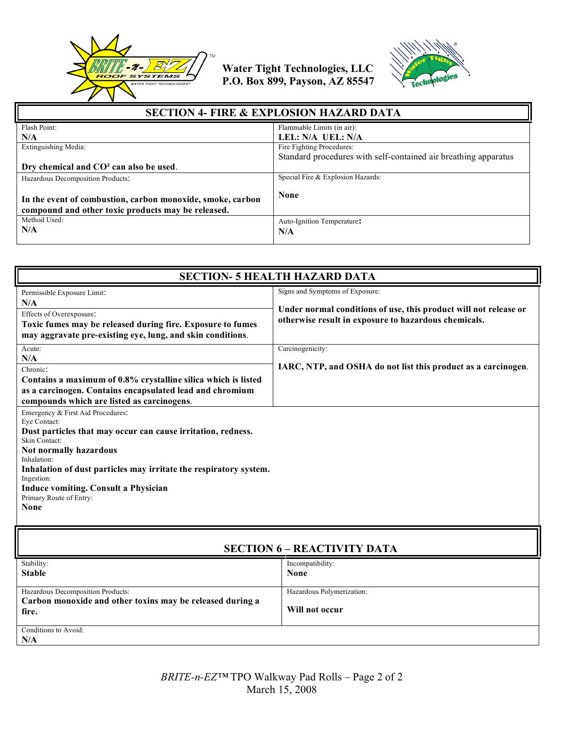



| <b>SECTION 4- FIRE &amp; EXPLOSION HAZARD DATA</b>                                                               |                                                                 |  |
|------------------------------------------------------------------------------------------------------------------|-----------------------------------------------------------------|--|
| Flash Point:                                                                                                     | Flammable Limits (in air):                                      |  |
| N/A                                                                                                              | LEL: N/A UEL: N/A                                               |  |
| Extinguishing Media:                                                                                             | Fire Fighting Procedures:                                       |  |
|                                                                                                                  | Standard procedures with self-contained air breathing apparatus |  |
| Dry chemical and CO <sup>2</sup> can also be used.                                                               |                                                                 |  |
| Hazardous Decomposition Products:                                                                                | Special Fire & Explosion Hazards:                               |  |
| In the event of combustion, carbon monoxide, smoke, carbon<br>compound and other toxic products may be released. | <b>None</b>                                                     |  |
| Method Used:<br>N/A                                                                                              | Auto-Ignition Temperature:<br>N/A                               |  |

| <b>SECTION- 5 HEALTH HAZARD DATA</b>                                                                                                                                                                                                                                                                                                                                                                                                                                                                                                                     |                                                                                                                                                             |  |
|----------------------------------------------------------------------------------------------------------------------------------------------------------------------------------------------------------------------------------------------------------------------------------------------------------------------------------------------------------------------------------------------------------------------------------------------------------------------------------------------------------------------------------------------------------|-------------------------------------------------------------------------------------------------------------------------------------------------------------|--|
| Permissible Exposure Limit:<br>N/A<br>Effects of Overexposure:<br>Toxic fumes may be released during fire. Exposure to fumes<br>may aggravate pre-existing eye, lung, and skin conditions.                                                                                                                                                                                                                                                                                                                                                               | Signs and Symptoms of Exposure:<br>Under normal conditions of use, this product will not release or<br>otherwise result in exposure to hazardous chemicals. |  |
| Acute:<br>N/A<br>Chronic:<br>Contains a maximum of 0.8% crystalline silica which is listed<br>as a carcinogen. Contains encapsulated lead and chromium<br>compounds which are listed as carcinogens.<br>Emergency & First Aid Procedures:<br>Eve Contact:<br>Dust particles that may occur can cause irritation, redness.<br>Skin Contact:<br>Not normally hazardous<br>Inhalation:<br>Inhalation of dust particles may irritate the respiratory system.<br>Ingestion:<br><b>Induce vomiting. Consult a Physician</b><br>Primary Route of Entry:<br>None | Carcinogenicity:<br>IARC, NTP, and OSHA do not list this product as a carcinogen.                                                                           |  |
|                                                                                                                                                                                                                                                                                                                                                                                                                                                                                                                                                          |                                                                                                                                                             |  |

# **SECTION 6 – REACTIVITY DATA**

| Stability:                                                | Incompatibility:          |
|-----------------------------------------------------------|---------------------------|
| <b>Stable</b>                                             | <b>None</b>               |
|                                                           |                           |
| Hazardous Decomposition Products:                         | Hazardous Polymerization: |
| Carbon monoxide and other toxins may be released during a |                           |
| fire.                                                     | Will not occur            |
|                                                           |                           |
| Conditions to Avoid:                                      |                           |
| N/A                                                       |                           |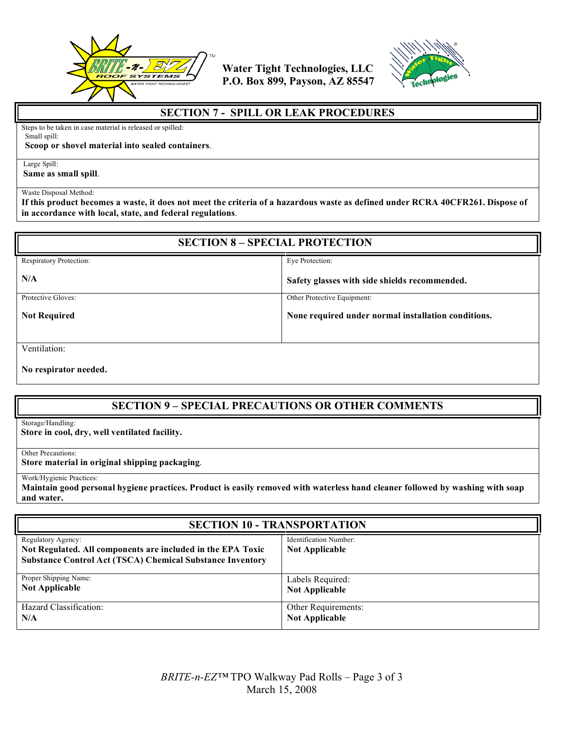



### **SECTION 7 - SPILL OR LEAK PROCEDURES**

Steps to be taken in case material is released or spilled: Small spill:

#### **Scoop or shovel material into sealed containers**.

Large Spill:

**Same as small spill**.

#### Waste Disposal Method:

**If this product becomes a waste, it does not meet the criteria of a hazardous waste as defined under RCRA 40CFR261. Dispose of in accordance with local, state, and federal regulations**.

| <b>SECTION 8 - SPECIAL PROTECTION</b> |                                                     |  |
|---------------------------------------|-----------------------------------------------------|--|
| <b>Respiratory Protection:</b>        | Eye Protection:                                     |  |
| N/A                                   | Safety glasses with side shields recommended.       |  |
| Protective Gloves:                    | Other Protective Equipment:                         |  |
| <b>Not Required</b>                   | None required under normal installation conditions. |  |
| Ventilation:                          |                                                     |  |

**No respirator needed.** 

# **SECTION 9 – SPECIAL PRECAUTIONS OR OTHER COMMENTS**

Storage/Handling:

**Store in cool, dry, well ventilated facility.** 

Other Precautions:

**Store material in original shipping packaging**.

Work/Hygienic Practices:

**Maintain good personal hygiene practices. Product is easily removed with waterless hand cleaner followed by washing with soap and water.**

| <b>SECTION 10 - TRANSPORTATION</b>                                                                                                                    |                                                 |  |
|-------------------------------------------------------------------------------------------------------------------------------------------------------|-------------------------------------------------|--|
| Regulatory Agency:<br>Not Regulated. All components are included in the EPA Toxic<br><b>Substance Control Act (TSCA) Chemical Substance Inventory</b> | Identification Number:<br><b>Not Applicable</b> |  |
| Proper Shipping Name:                                                                                                                                 | Labels Required:                                |  |
| <b>Not Applicable</b>                                                                                                                                 | <b>Not Applicable</b>                           |  |
| Hazard Classification:                                                                                                                                | Other Requirements:                             |  |
| N/A                                                                                                                                                   | <b>Not Applicable</b>                           |  |